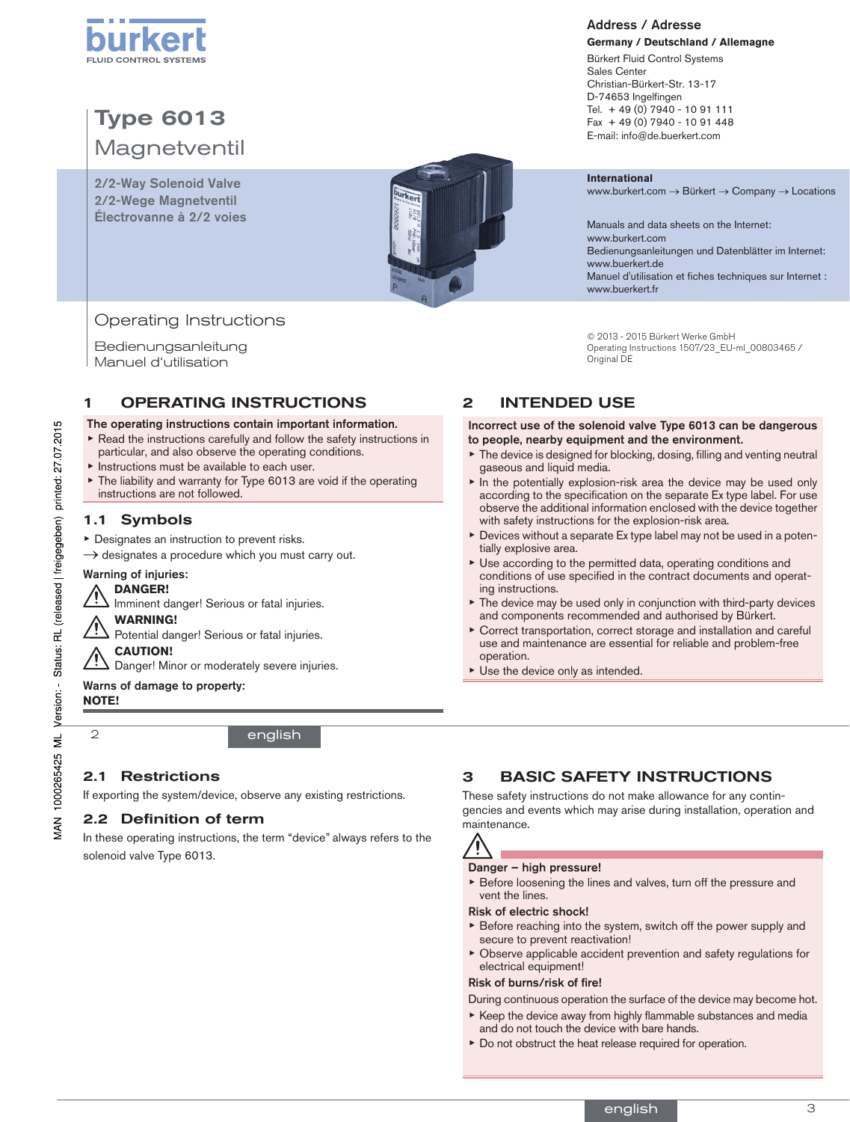

# Type 6013 **Magnetventil**

2/2-Way Solenoid Valve 2/2-Wege Magnetventil Électrovanne à 2/2 voies



# Operating Instructions

Bedienungsanleitung Manuel d'utilisation

# 1 OPERATING INSTRUCTIONS

#### The operating instructions contain important information.

- ▶ Read the instructions carefully and follow the safety instructions in particular, and also observe the operating conditions.
- ▶ Instructions must be available to each user.
- ▶ The liability and warranty for Type 6013 are void if the operating instructions are not followed.

# 1.1 Symbols

- ▶ Designates an instruction to prevent risks.
- $\rightarrow$  designates a procedure which you must carry out.

### Warning of injuries:

### **DANGER!**

Imminent danger! Serious or fatal injuries.

#### **WARNING!**

Potential danger! Serious or fatal injuries.

#### **CAUTION!**

Danger! Minor or moderately severe injuries.

#### Warns of damage to property:

#### **NOTE!**

2

# english

# 2.1 Restrictions

If exporting the system/device, observe any existing restrictions.

### 2.2 Definition of term

In these operating instructions, the term "device" always refers to the solenoid valve Type 6013.

# Address / Adresse

#### **Germany / Deutschland / Allemagne** Bürkert Fluid Control Systems Sales Center Christian-Bürkert-Str. 13-17 D-74653 Ingelfingen Tel. + 49 (0) 7940 - 10 91 111 Fax + 49 (0) 7940 - 10 91 448 E-mail: info@de.buerkert.com

#### **International**

www.burkert.com → Bürkert → Company → Locations

Manuals and data sheets on the Internet: www.burkert.com Bedienungsanleitungen und Datenblätter im Internet: www.buerkert.de Manuel d'utilisation et fiches techniques sur Internet : www.buerkert.fr

© 2013 - 2015 Bürkert Werke GmbH Operating Instructions 1507/23\_EU-ml\_00803465 / Original DE

# 2 INTENDED USE

#### Incorrect use of the solenoid valve Type 6013 can be dangerous to people, nearby equipment and the environment.

- ▶ The device is designed for blocking, dosing, filling and venting neutral gaseous and liquid media.
- In the potentially explosion-risk area the device may be used only according to the specification on the separate Ex type label. For use observe the additional information enclosed with the device together with safety instructions for the explosion-risk area.
- Devices without a separate Ex type label may not be used in a potentially explosive area.
- ▶ Use according to the permitted data, operating conditions and conditions of use specified in the contract documents and operating instructions.
- ▶ The device may be used only in conjunction with third-party devices and components recommended and authorised by Bürkert.
- Correct transportation, correct storage and installation and careful use and maintenance are essential for reliable and problem-free operation.
- ▶ Use the device only as intended.

# 3 BASIC SAFETY INSTRUCTIONS

These safety instructions do not make allowance for any contingencies and events which may arise during installation, operation and maintenance.

Ţ

#### Danger – high pressure!

▶ Before loosening the lines and valves, turn off the pressure and vent the lines.

#### Risk of electric shock!

- $\triangleright$  Before reaching into the system, switch off the power supply and secure to prevent reactivation!
- $\triangleright$  Observe applicable accident prevention and safety regulations for electrical equipment!

#### Risk of burns/risk of fire!

- During continuous operation the surface of the device may become hot.
- ▶ Keep the device away from highly flammable substances and media and do not touch the device with bare hands.
- ▶ Do not obstruct the heat release required for operation.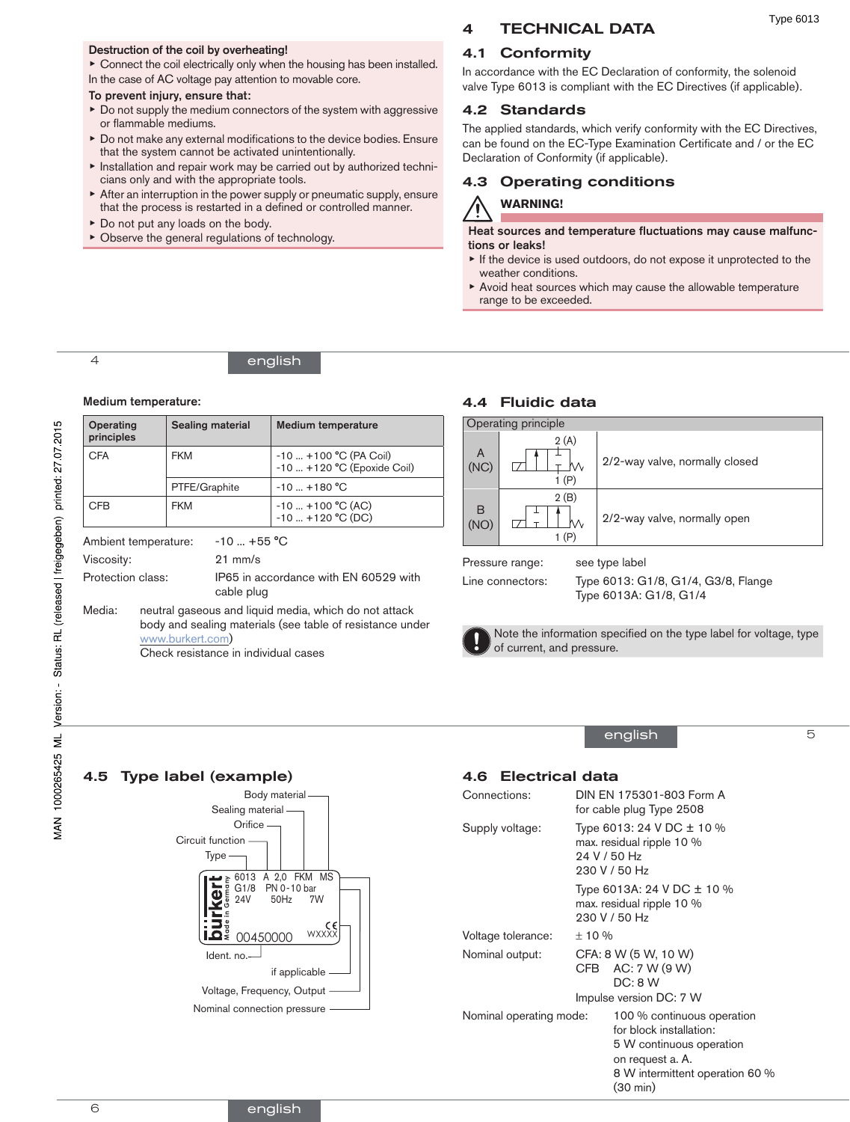#### Destruction of the coil by overheating!

▶ Connect the coil electrically only when the housing has been installed. In the case of AC voltage pay attention to movable core.

# To prevent injury, ensure that:

- ▶ Do not supply the medium connectors of the system with aggressive or flammable mediums.
- ▶ Do not make any external modifications to the device bodies. Ensure that the system cannot be activated unintentionally.
- ▶ Installation and repair work may be carried out by authorized technicians only and with the appropriate tools.
- ▶ After an interruption in the power supply or pneumatic supply, ensure that the process is restarted in a defined or controlled manner.
- ▶ Do not put any loads on the body.
- ▶ Observe the general regulations of technology.

# 4 TECHNICAL DATA

## 4.1 Conformity

In accordance with the EC Declaration of conformity, the solenoid valve Type 6013 is compliant with the EC Directives (if applicable).

### 4.2 Standards

The applied standards, which verify conformity with the EC Directives, can be found on the EC-Type Examination Certificate and / or the EC Declaration of Conformity (if applicable).

# 4.3 Operating conditions

# **WARNING!**

Heat sources and temperature fluctuations may cause malfunctions or leaks!

- ▶ If the device is used outdoors, do not expose it unprotected to the weather conditions.
- ▶ Avoid heat sources which may cause the allowable temperature range to be exceeded.

4

### english

#### Medium temperature:

4.5 Type label (example)

| Operating<br>principles |                                                                                                                                                                                | <b>Sealing material</b> |                                                     | <b>Medium temperature</b>                                |  |
|-------------------------|--------------------------------------------------------------------------------------------------------------------------------------------------------------------------------|-------------------------|-----------------------------------------------------|----------------------------------------------------------|--|
| CFA                     |                                                                                                                                                                                | <b>FKM</b>              |                                                     | $-10$ $+100$ °C (PA Coil)<br>-10  +120 °C (Epoxide Coil) |  |
|                         |                                                                                                                                                                                | PTFE/Graphite           |                                                     | $-10$ +180 °C                                            |  |
| <b>CFB</b>              |                                                                                                                                                                                | <b>FKM</b>              |                                                     | $-10$ $+100$ °C (AC)<br>$-10$ $+120$ °C (DC)             |  |
| Ambient temperature:    |                                                                                                                                                                                | $-10 - +55$ °C          |                                                     |                                                          |  |
| Viscosity:              |                                                                                                                                                                                |                         | $21 \text{ mm/s}$                                   |                                                          |  |
| Protection class:       |                                                                                                                                                                                |                         | IP65 in accordance with EN 60529 with<br>cable plug |                                                          |  |
| Media:                  | neutral gaseous and liquid media, which do not attack<br>body and sealing materials (see table of resistance under<br>www.burkert.com)<br>Check resistance in individual cases |                         |                                                     |                                                          |  |

### 4.4 Fluidic data

| <b>Operating principle</b> |               |                                |  |  |  |  |
|----------------------------|---------------|--------------------------------|--|--|--|--|
| A<br>(NC)                  | 2(A)<br>1 (P) | 2/2-way valve, normally closed |  |  |  |  |
| B<br>(NO)                  | 2(B)<br>1(P)  | 2/2-way valve, normally open   |  |  |  |  |

Pressure range: see type label

Line connectors: Type 6013: G1/8, G1/4, G3/8, Flange Type 6013A: G1/8, G1/4



Note the information specified on the type label for voltage, type of current, and pressure.

english

### 5

### 4.6 Electrical data

| Connections:            |                                                                                         | DIN EN 175301-803 Form A<br>for cable plug Type 2508                                                                                                 |  |  |
|-------------------------|-----------------------------------------------------------------------------------------|------------------------------------------------------------------------------------------------------------------------------------------------------|--|--|
| Supply voltage:         | Type 6013: 24 V DC ± 10 %<br>max. residual ripple 10 %<br>24 V / 50 Hz<br>230 V / 50 Hz |                                                                                                                                                      |  |  |
|                         | Type 6013A: 24 V DC $\pm$ 10 %<br>max. residual ripple 10 %<br>230 V / 50 Hz            |                                                                                                                                                      |  |  |
| Voltage tolerance:      | ±10%                                                                                    |                                                                                                                                                      |  |  |
| Nominal output:         |                                                                                         | CFA: 8 W (5 W, 10 W)<br>CFB AC: $7 W (9 W)$<br>DC: 8 W                                                                                               |  |  |
|                         |                                                                                         | Impulse version DC: 7 W                                                                                                                              |  |  |
| Nominal operating mode: |                                                                                         | 100 % continuous operation<br>for block installation:<br>5 W continuous operation<br>on request a. A.<br>8 W intermittent operation 60 %<br>(30 min) |  |  |

Voltage, Frequency, Output

Nominal connection pressure

if applicable

Ident. no.

Ο÷

**Made in Germany**

Type Circuit function

> ᅚ rker

**Orifice** Sealing material

Body material

6013 A 2,0 FKM MS

24V 50Hz 7W G1/8 PN 0-10 bar

00450000 WXXX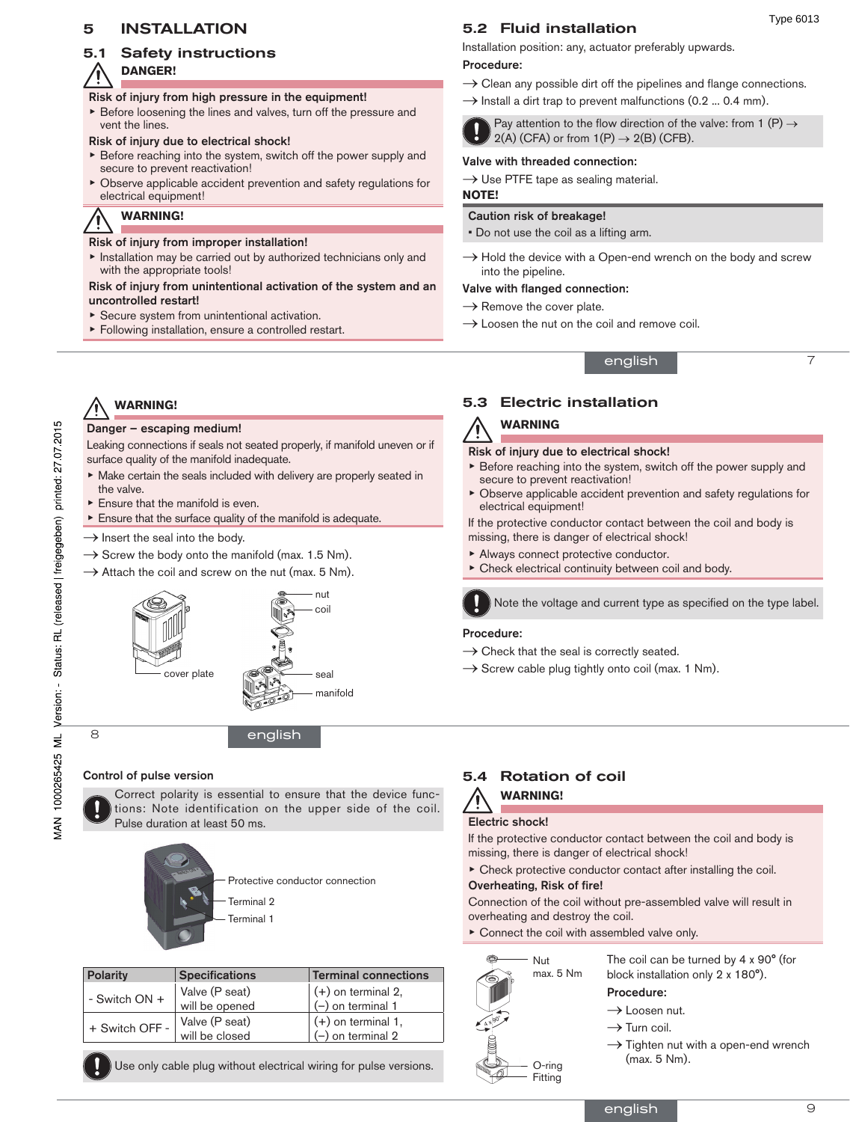### 5 INSTALLATION

# 5.1 Safety instructions

#### **DANGER!** Ί

#### Risk of injury from high pressure in the equipment!

▶ Before loosening the lines and valves, turn off the pressure and vent the lines.

#### Risk of injury due to electrical shock!

- $\triangleright$  Before reaching into the system, switch off the power supply and secure to prevent reactivation!
- $\triangleright$  Observe applicable accident prevention and safety regulations for electrical equipment!

**WARNING!**

**WARNING!**

the valve.

Danger – escaping medium!

 $\blacktriangleright$  Ensure that the manifold is even.

surface quality of the manifold inadequate.

#### Risk of injury from improper installation!

▶ Installation may be carried out by authorized technicians only and with the appropriate tools!

#### Risk of injury from unintentional activation of the system and an uncontrolled restart!

Leaking connections if seals not seated properly, if manifold uneven or if

▶ Make certain the seals included with delivery are properly seated in

 $\blacktriangleright$  Ensure that the surface quality of the manifold is adequate.

- ▶ Secure system from unintentional activation.
- ▶ Following installation, ensure a controlled restart.

# 5.2 Fluid installation

Installation position: any, actuator preferably upwards.

#### Procedure:

- $\rightarrow$  Clean any possible dirt off the pipelines and flange connections.
- $\rightarrow$  Install a dirt trap to prevent malfunctions (0.2 ... 0.4 mm).



#### Pay attention to the flow direction of the valve: from 1 (P)  $\rightarrow$  $2(A)$  (CFA) or from  $1(P) \rightarrow 2(B)$  (CFB).

#### Valve with threaded connection:

 $\rightarrow$  Use PTFE tape as sealing material.

#### **NOTE!**

### Caution risk of breakage!

• Do not use the coil as a lifting arm.

 $\rightarrow$  Hold the device with a Open-end wrench on the body and screw into the pipeline.

english

#### Valve with flanged connection:

- $\rightarrow$  Remove the cover plate.
- $\rightarrow$  Loosen the nut on the coil and remove coil.

7

Type 6013

# 5.3 Electric installation

# **WARNING**

#### Risk of injury due to electrical shock!

- $\triangleright$  Before reaching into the system, switch off the power supply and secure to prevent reactivation!
- Observe applicable accident prevention and safety regulations for electrical equipment!

If the protective conductor contact between the coil and body is missing, there is danger of electrical shock!

- ▶ Always connect protective conductor.
- Check electrical continuity between coil and body.



# Note the voltage and current type as specified on the type label.

#### Procedure:

- $\rightarrow$  Check that the seal is correctly seated.
- $\rightarrow$  Screw cable plug tightly onto coil (max. 1 Nm).

# Control of pulse version

Correct polarity is essential to ensure that the device functions: Note identification on the upper side of the coil. Pulse duration at least 50 ms.



| <b>Specifications</b> | <b>Terminal connections</b>      |
|-----------------------|----------------------------------|
| Valve (P seat)        | $(+)$ on terminal 2,             |
|                       | $(-)$ on terminal 1              |
| Valve (P seat)        | $(+)$ on terminal 1,             |
|                       | $(-)$ on terminal 2              |
|                       | will be opened<br>will be closed |

Use only cable plug without electrical wiring for pulse versions.

# 5.4 Rotation of coil **WARNING!**

### Electric shock!

If the protective conductor contact between the coil and body is missing, there is danger of electrical shock!

 $\triangleright$  Check protective conductor contact after installing the coil.

#### Overheating, Risk of fire!

Connection of the coil without pre-assembled valve will result in overheating and destroy the coil.

▶ Connect the coil with assembled valve only.



The coil can be turned by 4 x 90° (for block installation only 2 x 180°).

### Procedure:

- $\rightarrow$  Loosen nut.
- $\rightarrow$  Turn coil.
- $\rightarrow$  Tighten nut with a open-end wrench (max. 5 Nm).